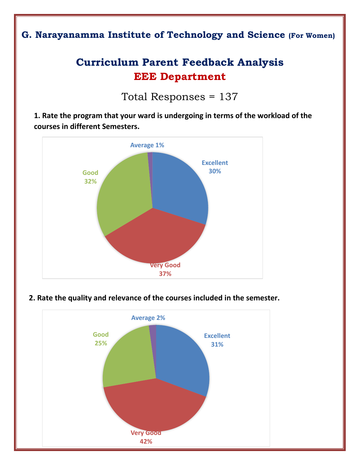## **G. Narayanamma Institute of Technology and Science (For Women)**

# **Curriculum Parent Feedback Analysis EEE Department**

Total Responses = 137

**1. Rate the program that your ward is undergoing in terms of the workload of the courses in different Semesters.**



#### **2. Rate the quality and relevance of the courses included in the semester.**

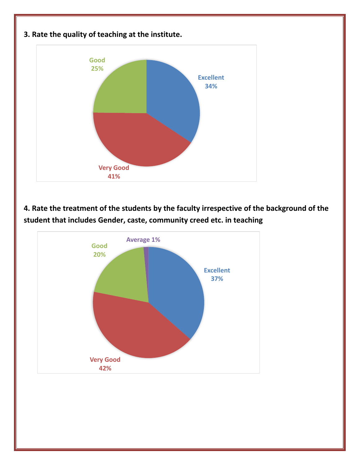

**4. Rate the treatment of the students by the faculty irrespective of the background of the student that includes Gender, caste, community creed etc. in teaching** 

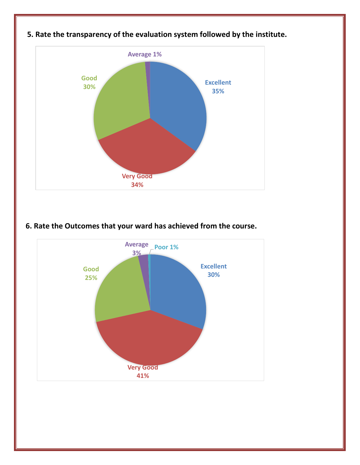

### **5. Rate the transparency of the evaluation system followed by the institute.**

#### **6. Rate the Outcomes that your ward has achieved from the course.**

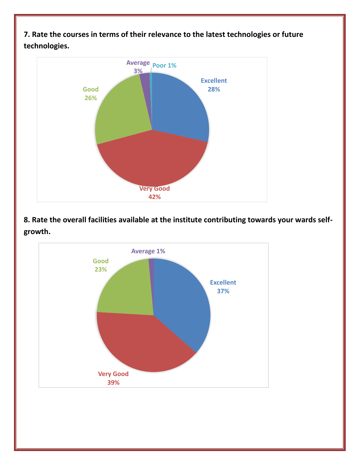**7. Rate the courses in terms of their relevance to the latest technologies or future technologies.**



**8. Rate the overall facilities available at the institute contributing towards your wards selfgrowth.**